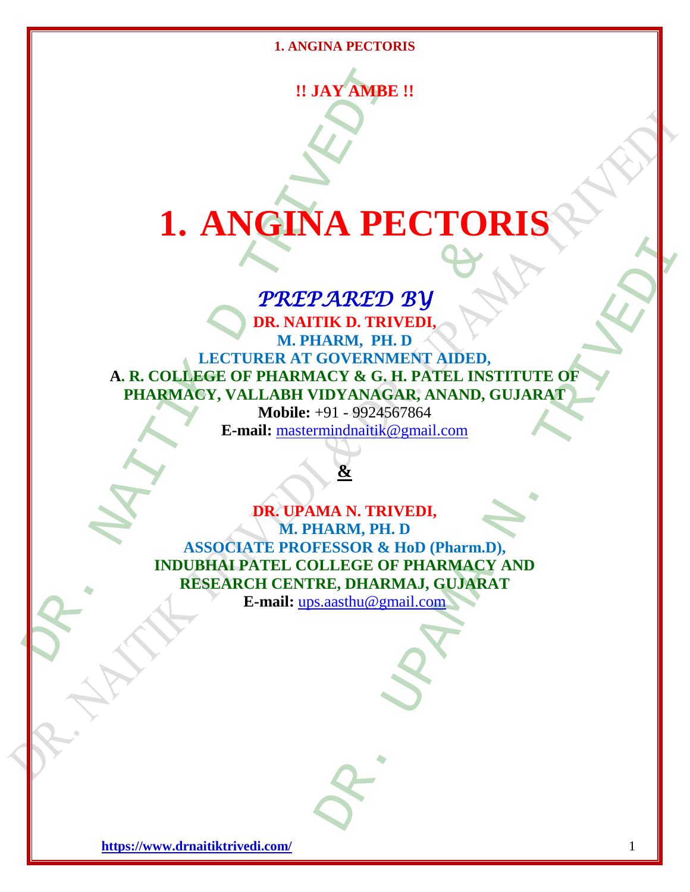**!! JAY AMBE !!**

# **1. ANGINA PECTORIS**

# *PREPARED BY*

 $\begin{minipage}{0.5\textwidth} \begin{tabular}{c|c|c} \multicolumn{2}{c|}{\textbf{0.1}} \multicolumn{2}{c|}{\textbf{0.1}} \multicolumn{2}{c|}{\textbf{0.2}} \multicolumn{2}{c|}{\textbf{0.3}} \multicolumn{2}{c|}{\textbf{0.4}} \multicolumn{2}{c|}{\textbf{0.5}} \multicolumn{2}{c|}{\textbf{0.6}} \multicolumn{2}{c|}{\textbf{0.7}} \multicolumn{2}{c|}{\textbf{0.7}} \multicolumn{2}{c|}{\textbf{0.8}} \multicolumn{2}{c|}{\textbf{$ PARED BY<br>
THE D. TRIVEDI,<br>
HARM, PH. D<br>
GOVERNMENT AIDED,<br>
ACY & G. H. PATEL INSTITUTE OF<br>
IDYANAGAR, ANAND, GUJARAT<br>
mindmainik@gmail.com<br>
<br>
&<br>
MA N. TRIVEDI,<br>
ARM, PH. D<br>
FESSOR & HoD (Pharm.D),<br>
LLEGE OF PHARMACY AND<br>
R **DR. NAITIK D. TRIVEDI, M. PHARM, PH. D LECTURER AT GOVERNMENT AIDED, A. R. COLLEGE OF PHARMACY & G. H. PATEL INSTITUTE OF PHARMACY, VALLABH VIDYANAGAR, ANAND, GUJARAT**

**Mobile:** +91 - 9924567864 **E-mail:** [mastermindnaitik@gmail.com](mailto:mastermindnaitik@gmail.com)

# **&**

**PREPARED BY**<br> **PREPARED BY**<br> **DR. NAITIK D. TRIVEDI,**<br>
M. PHARM, PH. D<br>
LECTURER AT GOVERNMENT AIDED,<br>
EGE OF PHARMACY & G. H. PATEL INST<br>
EV, VALLABH VIDYANAGAR, ANAND, G<br>
Mobile: +91 - 9924567864<br>
E-mail: <u>mastermindnai</u> **DR. UPAMA N. TRIVEDI, M. PHARM, PH. D ASSOCIATE PROFESSOR & HoD (Pharm.D), INDUBHAI PATEL COLLEGE OF PHARMACY AND RESEARCH CENTRE, DHARMAJ, GUJARAT**

**E-mail:** [ups.aasthu@gmail.com](mailto:ups.aasthu@gmail.com)

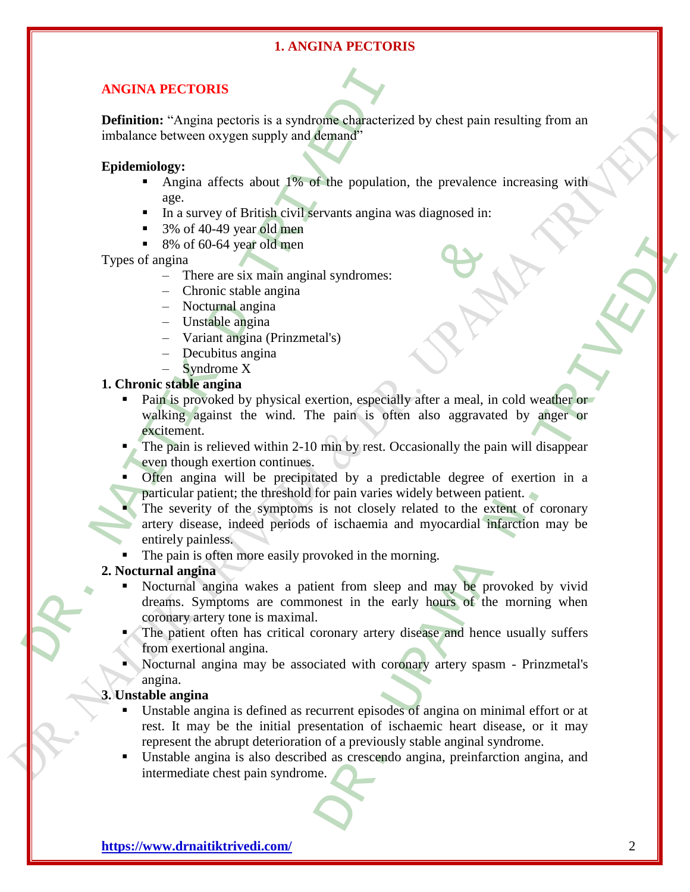# **ANGINA PECTORIS**

**Definition:** "Angina pectoris is a syndrome characterized by chest pain resulting from an imbalance between oxygen supply and demand"

#### **Epidemiology:**

- Angina affects about  $1\%$  of the population, the prevalence increasing with age.
- In a survey of British civil servants angina was diagnosed in:
- 3% of 40-49 year old men
- $8\%$  of 60-64 year old men

Types of angina

- There are six main anginal syndromes:
- Chronic stable angina
- Nocturnal angina
- Unstable angina
- Variant angina (Prinzmetal's)
- Decubitus angina
- Syndrome X

## **1. Chronic stable angina**

- Pain is provoked by physical exertion, especially after a meal, in cold weather or walking against the wind. The pain is often also aggravated by anger or excitement.
- The pain is relieved within 2-10 min by rest. Occasionally the pain will disappear even though exertion continues.
- Often angina will be precipitated by a predictable degree of exertion in a particular patient; the threshold for pain varies widely between patient.
- **ANGINA PECTORIS**<br>
Definition: "Angina pectoris is a syndrome characterize<br>
imbalance between oxygen supply and démand<sup>2</sup><br> **Epidemiology:**<br>
Angina affects about 1% of the population<br> **Epidemiology:**<br>
Angina affects about 60-64 year old men<br>
ere are six main anginal syndromes:<br>
cronic stable angina<br>
stable angina<br>
stable angina<br>
stable angina<br>
stable angina<br>
matheme X<br>
angina<br>
angina<br>
woked by physical exertion, especially after a meal, in<br> al syndromes:<br>
al'syndromes:<br>
al'syndromes:<br>
al'syndromes:<br>
altistic area alties are alties are alties are paint in by rest. Occasionally the pain will disappear<br>
and by a predictable degree of exertion in a<br>
is not loosel The severity of the symptoms is not closely related to the extent of coronary artery disease, indeed periods of ischaemia and myocardial infarction may be entirely painless.
	- The pain is often more easily provoked in the morning.

#### **2. Nocturnal angina**

- Nocturnal angina wakes a patient from sleep and may be provoked by vivid dreams. Symptoms are commonest in the early hours of the morning when coronary artery tone is maximal.
- The patient often has critical coronary artery disease and hence usually suffers from exertional angina.
- Nocturnal angina may be associated with coronary artery spasm Prinzmetal's angina.

# **3. Unstable angina**

- Unstable angina is defined as recurrent episodes of angina on minimal effort or at rest. It may be the initial presentation of ischaemic heart disease, or it may represent the abrupt deterioration of a previously stable anginal syndrome.
- Unstable angina is also described as crescendo angina, preinfarction angina, and intermediate chest pain syndrome.

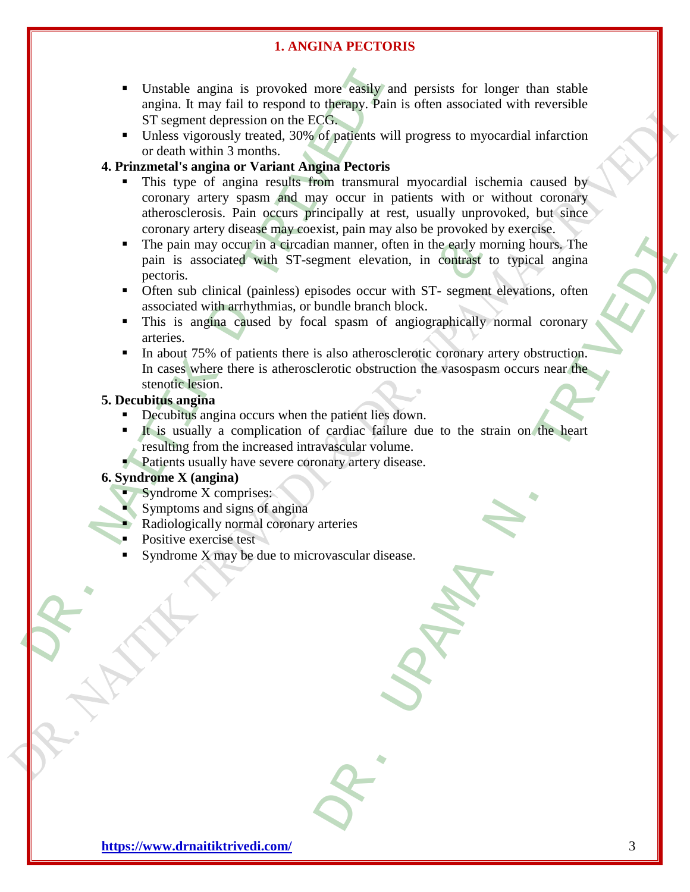- Unstable angina is provoked more easily and persists for longer than stable angina. It may fail to respond to therapy. Pain is often associated with reversible ST segment depression on the ECG.
- Unless vigorously treated, 30% of patients will progress to myocardial infarction or death within 3 months.

# **4. Prinzmetal's angina or Variant Angina Pectoris**

- Unstable angina is provoked more easily and<br>angina. It may fail to respond to therapy. Pain is<br>ST segment depression on the ECGs<br>Internal Vittin 3 months.<br>Unless vigorously treated, 30% of patients will<br>a critering a pain This type of angina results from transmural myocardial ischemia caused by coronary artery spasm and may occur in patients with or without coronary atherosclerosis. Pain occurs principally at rest, usually unprovoked, but since coronary artery disease may coexist, pain may also be provoked by exercise.
	- The pain may occur in a circadian manner, often in the early morning hours. The pain is associated with ST-segment elevation, in contrast to typical angina pectoris.
	- Often sub clinical (painless) episodes occur with ST- segment elevations, often associated with arrhythmias, or bundle branch block.
	- This is angina caused by focal spasm of angiographically normal coronary arteries.
	- may occur in a circadian manner, often in the early mors<br>sociated with ST-segment elevation, in contrast to<br>clinical (painless) episodes occur with ST-segment elevation, in contrast to<br>exiligate and proposed by focal spass an manner, often in the early morning hours, The<br>gment elevation, in contrast to typical angina<br>isotes occur with ST-segment elevations, often<br>sum de branch block.<br>al spasm of angiographically normal coronary<br>sum of angiog In about 75% of patients there is also atherosclerotic coronary artery obstruction. In cases where there is atherosclerotic obstruction the vasospasm occurs near the stenotic lesion.

# **5. Decubitus angina**

- Decubitus angina occurs when the patient lies down.
- It is usually a complication of cardiac failure due to the strain on the heart resulting from the increased intravascular volume.
- **Patients usually have severe coronary artery disease.**

# **6. Syndrome X (angina)**

- $\blacksquare$  Syndrome X comprises:
- Symptoms and signs of angina
- Radiologically normal coronary arteries
- Positive exercise test
- Syndrome X may be due to microvascular disease.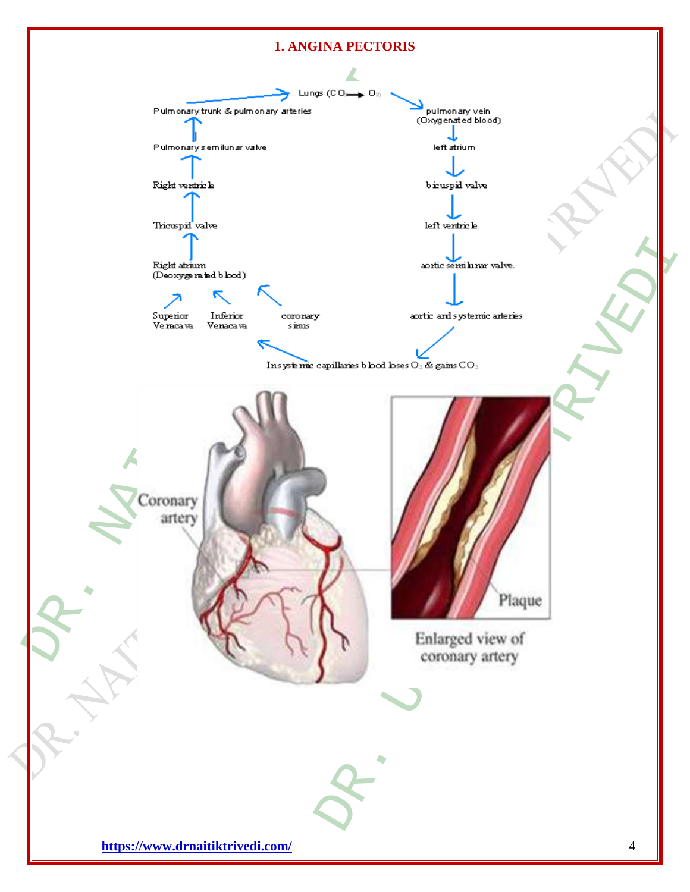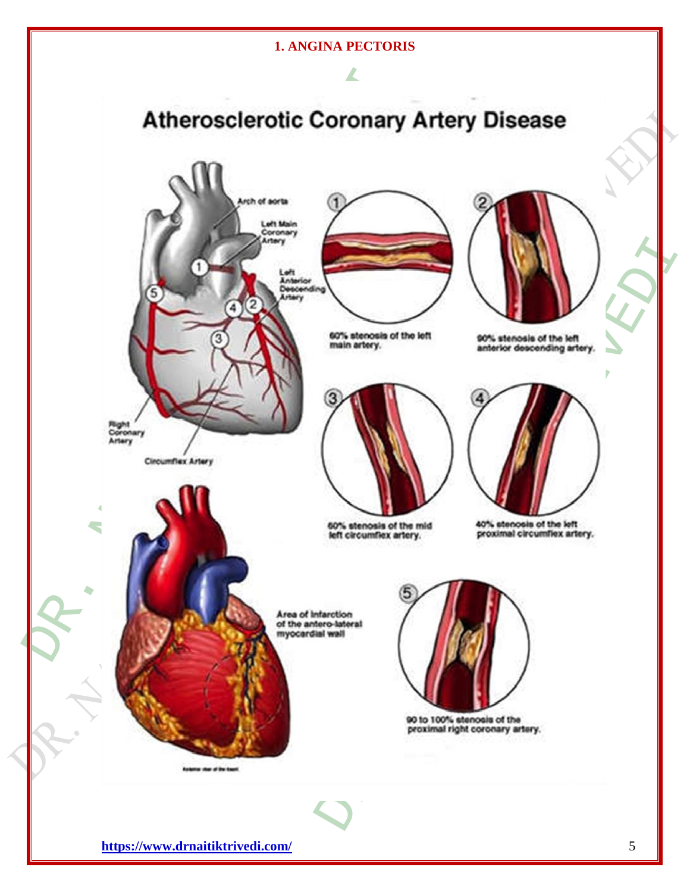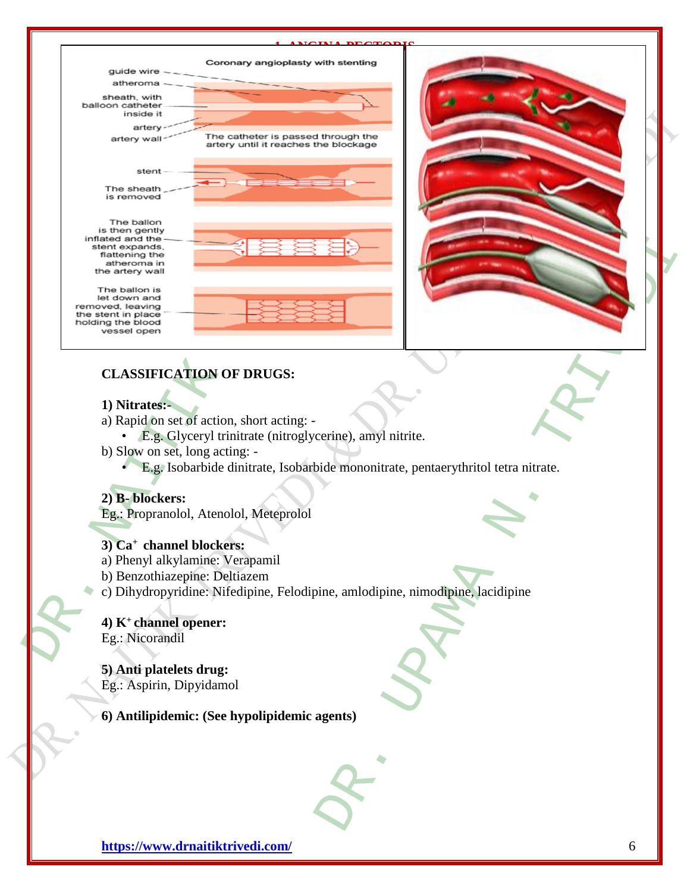

# **1) Nitrates:-**

a) Rapid on set of action, short acting: -

- E.g. Glyceryl trinitrate (nitroglycerine), amyl nitrite.
- b) Slow on set, long acting:
	- E.g. Isobarbide dinitrate, Isobarbide mononitrate, pentaerythritol tetra nitrate.

# **2) B- blockers:**

Eg.: Propranolol, Atenolol, Meteprolol

# **3) Ca<sup>+</sup>channel blockers:**

- a) Phenyl alkylamine: Verapamil
- b) Benzothiazepine: Deltiazem
- c) Dihydropyridine: Nifedipine, Felodipine, amlodipine, nimodipine, lacidipine

#### **4) K<sup>+</sup>channel opener:** Eg.: Nicorandil

**5) Anti platelets drug:** Eg.: Aspirin, Dipyidamol

**6) Antilipidemic: (See hypolipidemic agents)**

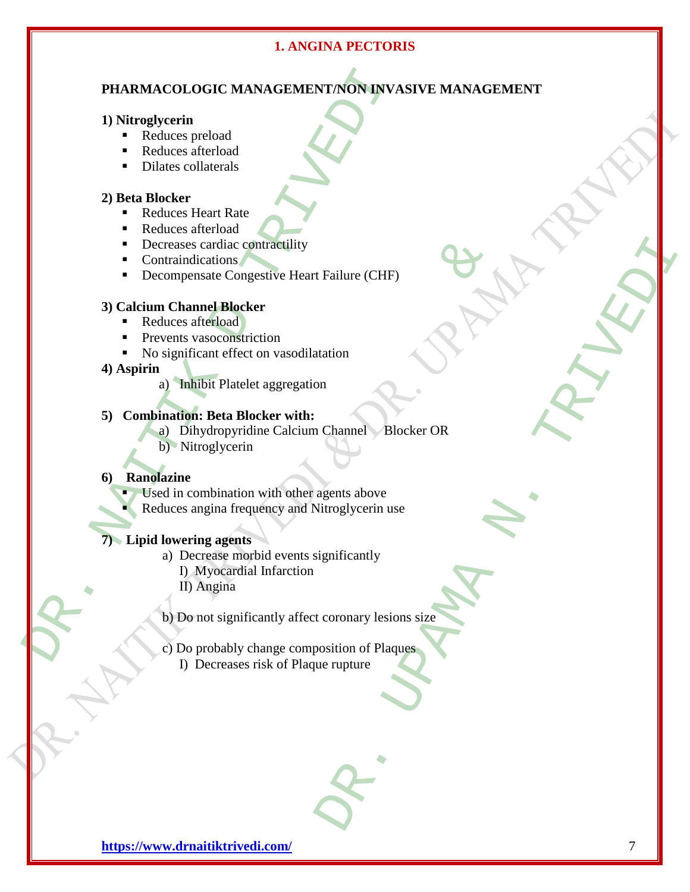# **PHARMACOLOGIC MANAGEMENT/NON INVASIVE MANAGEMENT**

#### **1) Nitroglycerin**

- Reduces preload
- Reduces afterload
- Dilates collaterals

# **2) Beta Blocker**

- Reduces Heart Rate
- Reduces afterload
- Decreases cardiac contractility
- Contraindications
- Decompensate Congestive Heart Failure (CHF)

# **3) Calcium Channel Blocker**

- Reduces afterload
- **Prevents vasoconstriction**
- No significant effect on vasodilatation
- **4) Aspirin** 
	- a) Inhibit Platelet aggregation

# **5) Combination: Beta Blocker with:**

- a) Dihydropyridine Calcium Channel Blocker OR
- b) Nitroglycerin

#### **6) Ranolazine**

- Used in combination with other agents above
- Reduces angina frequency and Nitroglycerin use

#### **7) Lipid lowering agents**

- a) Decrease morbid events significantly
	- I) Myocardial Infarction
	- II) Angina
- b) Do not significantly affect coronary lesions size
- **PHARMACOLOGIC MANAGEMENT/NON-INVA<br>
1) Nitroglycerin**<br>
Reduces afterboad<br> **Excelus Scheme Rate**<br>
Dilates collaterals<br>
2) Beta Blocker<br> **PREDICES**<br> **PREDICES**<br> **PREDICES**<br> **PREDICES**<br> **PREDICES**<br> **PREDICES**<br> **PREDICES**<br> **P** cardiac contractinty<br>
ications<br>
issate Congestive Heart Failure (CHF)<br> **nnel Blocker**<br>
fterload<br>
assoconstriction<br>
cant effect on vasodilatation<br>
is **Distributed associates**<br> **is Distributed associates**<br> **is Distributed as**  c) Do probably change composition of Plaques I) Decreases risk of Plaque rupture

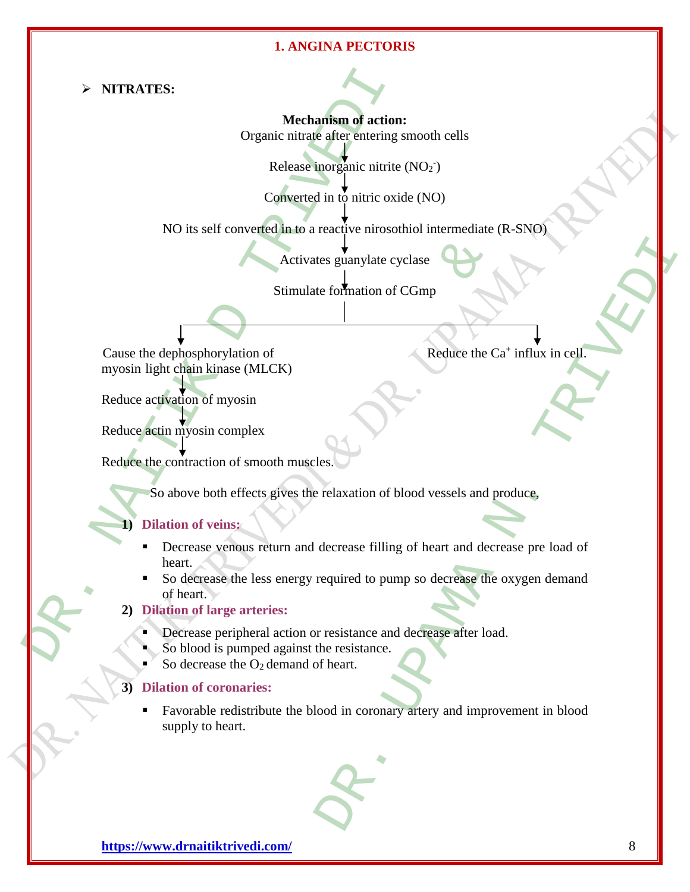**NITRATES:** 

**Mechanism of action:** Organic nitrate after entering smooth cells

Release inorganic nitrite (NO<sub>2</sub><sup>-</sup>)

Converted in to nitric oxide (NO)

NO its self converted in to a reactive nirosothiol intermediate (R-SNO)

Activates guanylate cyclase

Stimulate formation of CGmp

Reduce the  $Ca^+$  influx in cell.

Cause the dephosphorylation of myosin light chain kinase (MLCK)

Reduce activation of myosin

Reduce actin myosin complex

Reduce the contraction of smooth muscles.

So above both effects gives the relaxation of blood vessels and produce,

# **1) Dilation of veins:**

- → NITRATES:<br>
Organic nitrate after entering s<br>
Release inorganic intrite<br>
Release inorganic intrite<br>
Release inorganic intrite<br>
Converted in to a reactive nirroot<br>
NO its self-converted in to a reactive nirroot<br>
Notivates Activates guanylate cyclase<br>
Stimulate formation of CGmp<br>
phorylation of<br>
phorylation of<br>
is in complex<br>
of myosin<br>
sin complex<br>
textion of smooth muscles.<br>
<br>
both effects gives the relaxation of blood vessels and p<br>
of ve Decrease venous return and decrease filling of heart and decrease pre load of heart.
	- So decrease the less energy required to pump so decrease the oxygen demand of heart.

#### **2) Dilation of large arteries:**

- Decrease peripheral action or resistance and decrease after load.
- So blood is pumped against the resistance.
- So decrease the  $O_2$  demand of heart.

#### **3) Dilation of coronaries:**

tes guanylate cyclase<br>
le formation of CGmp<br>
<br>
<br>
Reduce the Ca' influx in cell<br>
Reduce the Ca' influx in cell<br>
Reduce the Ca' influx in cell<br>
Reduce the Ca' influx in cell<br>
Reduce the Ca' influx in cell<br>
<br>
Restaution of bl Favorable redistribute the blood in coronary artery and improvement in blood supply to heart.

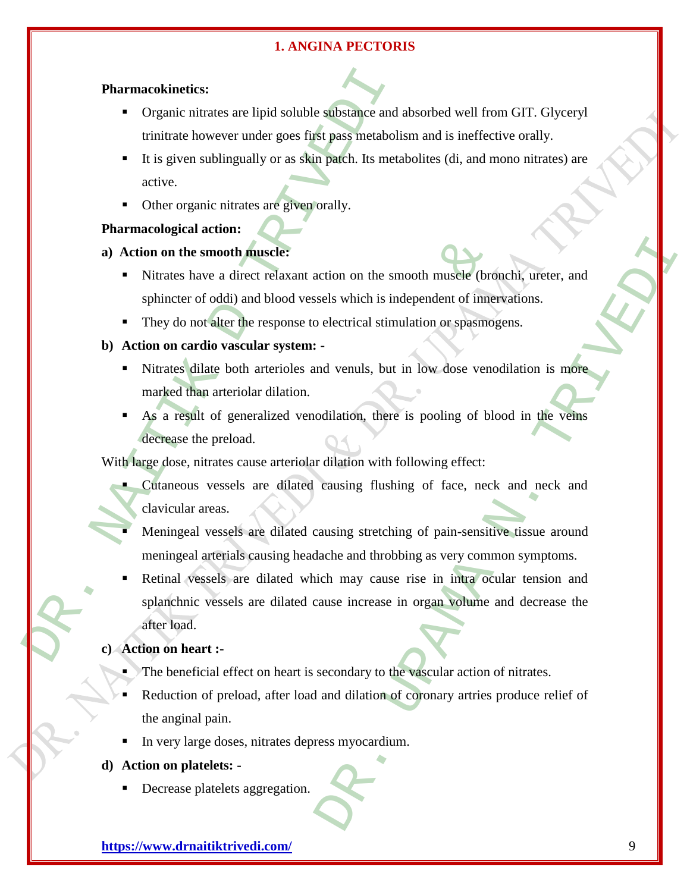#### **Pharmacokinetics:**

- Organic nitrates are lipid soluble substance and absorbed well from GIT. Glyceryl trinitrate however under goes first pass metabolism and is ineffective orally.
- It is given sublingually or as skin patch. Its metabolites (di, and mono nitrates) are active.
- Other organic nitrates are given orally.

# **Pharmacological action:**

- **a) Action on the smooth muscle:**
	- Nitrates have a direct relaxant action on the smooth muscle (bronchi, ureter, and sphincter of oddi) and blood vessels which is independent of innervations.
	- They do not alter the response to electrical stimulation or spasmogens.

#### **b) Action on cardio vascular system: -**

- In Nitrates dilate both arterioles and venuls, but in low dose venodilation is more marked than arteriolar dilation.
- As a result of generalized venodilation, there is pooling of blood in the veins decrease the preload.

With large dose, nitrates cause arteriolar dilation with following effect:

- Cutaneous vessels are dilated causing flushing of face, neck and neck and clavicular areas.
- Meningeal vessels are dilated causing stretching of pain-sensitive tissue around meningeal arterials causing headache and throbbing as very common symptoms.
- **Pharmacokineties:**<br>
Organic nitrates are lipid soluble substance and trinitrate however under goes first pass metabolis<br>
It is given sublingually or as skin parch. Its meta<br>
active.<br>
Other organic nitrates are given orall smooth muscle:<br>ave a direct relaxant action on the smooth muscle (brown of oddi) and blood vessels which is independent of inner<br>ot alter the response to electrical stimulation or spasmog<br>dio vascular system: -<br>liate both Exercise on the smooth muscle (bronch), ureter, and<br>sels which is independent of innervations.<br>electrical stimulation or spasmogens.<br><br>and venuls, but in low dose venodilation is more<br>dilation, there is pooling of blood in Retinal vessels are dilated which may cause rise in intra ocular tension and splanchnic vessels are dilated cause increase in organ volume and decrease the after load.

#### **c) Action on heart :-**

- The beneficial effect on heart is secondary to the vascular action of nitrates.
- Reduction of preload, after load and dilation of coronary artries produce relief of the anginal pain.
- In very large doses, nitrates depress myocardium.

#### **d) Action on platelets: -**

Decrease platelets aggregation.

**<https://www.drnaitiktrivedi.com/>** 9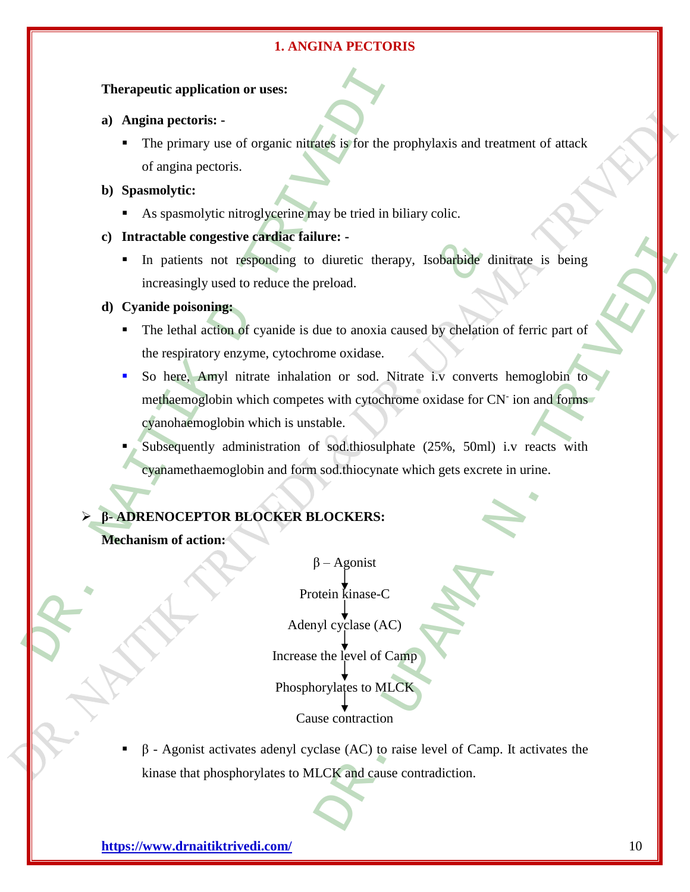#### **Therapeutic application or uses:**

- **a) Angina pectoris: -**
	- The primary use of organic nitrates is for the prophylaxis and treatment of attack of angina pectoris.

#### **b) Spasmolytic:**

- As spasmolytic nitroglycerine may be tried in biliary colic.
- **c) Intractable congestive cardiac failure: -**
	- In patients not responding to diuretic therapy, Isobarbide dinitrate is being increasingly used to reduce the preload.

#### **d) Cyanide poisoning:**

- The lethal action of cyanide is due to anoxia caused by chelation of ferric part of the respiratory enzyme, cytochrome oxidase.
- Therapeutic application or uses:<br>
a) Angina pectoris:<br>
The primary use of organic nitrates is for the propagation or uses:<br>
DR. Spassmolytic:<br>
DR. Spassmolytic:<br>
As spassmolytic:<br>
As spassmolytic:<br>
DR. Spassmolytic:<br>
DR. So here, Amyl nitrate inhalation or sod. Nitrate i.v converts hemoglobin to methaemoglobin which competes with cytochrome oxidase for CN<sup>-</sup> ion and forms cyanohaemoglobin which is unstable.
	- Subsequently administration of sod.thiosulphate (25%, 50ml) i.v reacts with cyanamethaemoglobin and form sod.thiocynate which gets excrete in urine.

# **β- ADRENOCEPTOR BLOCKER BLOCKERS:**

**Mechanism of action:** 

Examples to direction and the speeding to directive therapy, Isobarbide direction of eyanide is due to anoxia caused by chelation<br>
and the speeding and the speeding and the speeding of eyanide is due to anoxia caused by The district therapy, Isobarbide dinitrate is being<br>
diuretic therapy, Isobarbide dinitrate is being<br>
preload.<br>
lue to anoxia caused by chelation of ferric part of<br>
ome oxidase.<br>
con or sod. Nitrate i.v. converts hemoglobi  $β$  – Agonist Protein kinase-C Adenyl cyclase (AC) Increase the level of Camp Phosphorylates to MLCK Cause contraction

 $β$  - Agonist activates adenyl cyclase (AC) to raise level of Camp. It activates the kinase that phosphorylates to MLCK and cause contradiction.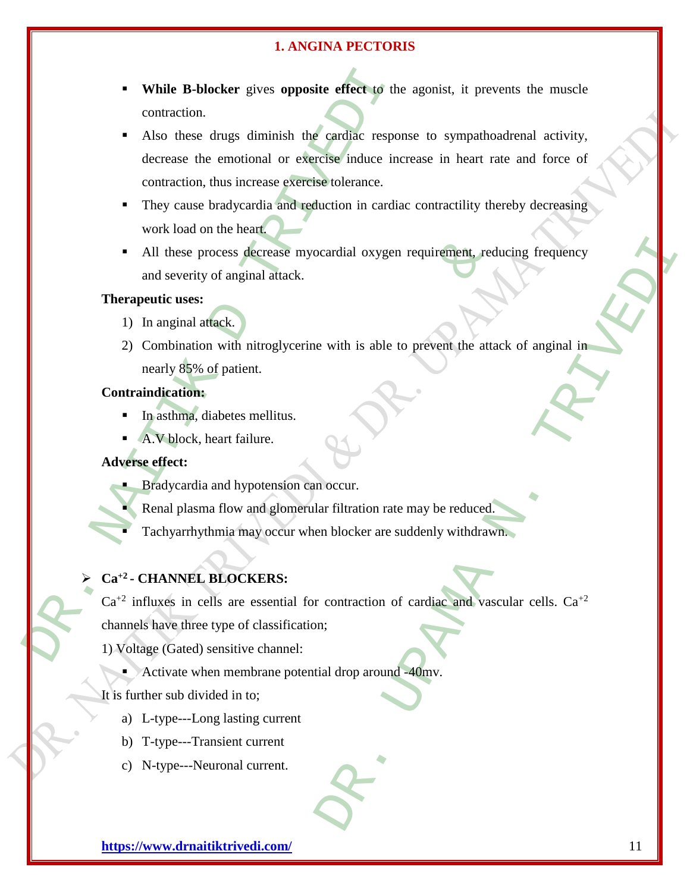- **While B-blocker** gives **opposite effect** to the agonist, it prevents the muscle contraction.
- **EXECUTE:** The study of the study of the studies of the studies of the contraction.<br>
Also these drugs diminish the cardiac respondence<br>
decrease the emotional or exercise tolerance.<br>
They cause bradycardia and reduction i Also these drugs diminish the cardiac response to sympathoadrenal activity, decrease the emotional or exercise induce increase in heart rate and force of contraction, thus increase exercise tolerance.
	- They cause bradycardia and reduction in cardiac contractility thereby decreasing work load on the heart.
	- All these process decrease myocardial oxygen requirement, reducing frequency and severity of anginal attack.

# **Therapeutic uses:**

- 1) In anginal attack.
- process decrease myocardial oxygen requirement, red<br>ty of anginal attack.<br>
<br>
s:<br>
attack.<br>
<br>
s:<br>
attack.<br>
<br>
s:<br>
attack.<br>
<br>
s:<br>
attack.<br>
<br>
s:<br>
attack.<br>
<br>
s:<br>
<br>
diabetes melitus.<br>
<br>
diabetes melitus.<br>
<br>
, heart failure.<br>
<br>
, ocardial oxygen requirement, reducing frequency<br>
e with is able to prevent the attack of anginal in<br>
a occur.<br>
In filtration rate may be reduced<br>
an blocker are suddenly withdrawn.<br>
The metal of the subset of anginal withd 2) Combination with nitroglycerine with is able to prevent the attack of anginal in nearly 85% of patient.

# **Contraindication:**

- $\blacksquare$  In asthma, diabetes mellitus.
- A.V block, heart failure.

# **Adverse effect:**

- **Bradycardia and hypotension can occur.** 
	- Renal plasma flow and glomerular filtration rate may be reduced.
	- Tachyarrhythmia may occur when blocker are suddenly withdrawn.

# **Ca+2 - CHANNEL BLOCKERS:**

 $Ca^{+2}$  influxes in cells are essential for contraction of cardiac and vascular cells.  $Ca^{+2}$ 

channels have three type of classification;

- 1) Voltage (Gated) sensitive channel:
	- Activate when membrane potential drop around -40mv.
- It is further sub divided in to;
	- a) L-type---Long lasting current
	- b) T-type---Transient current
	- c) N-type---Neuronal current.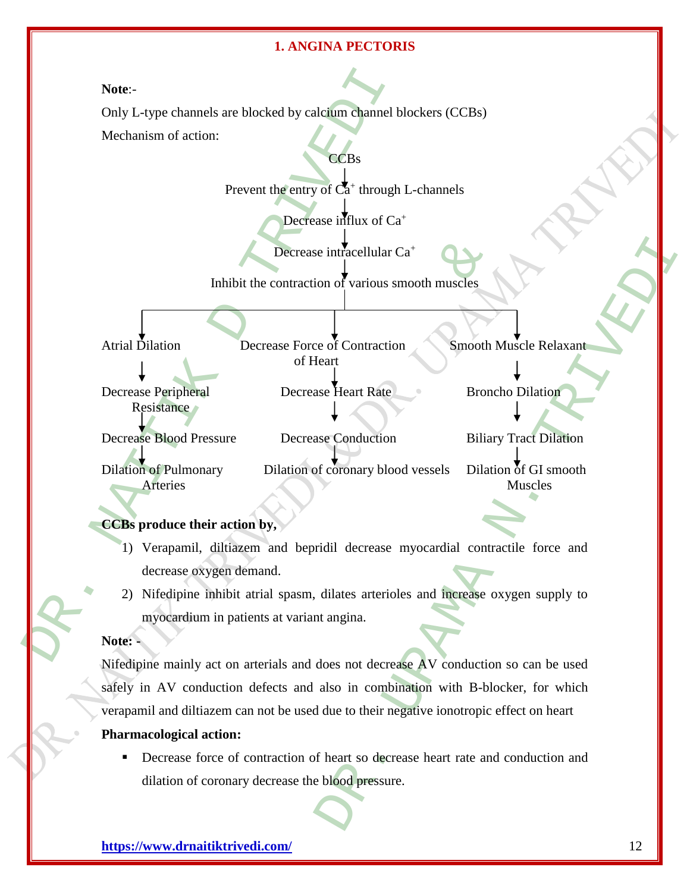**Note**:-

Only L-type channels are blocked by calcium channel blockers (CCBs)

Mechanism of action:

Prevent the entry of  $\overline{Ca}^+$  through L-channels

**CCBs** 

Decrease influx of Ca<sup>+</sup>

Decrease intracellular Ca<sup>+</sup>

Inhibit the contraction of various smooth muscles

Atrial Dilation Decrease Force of Contraction Smooth Muscle Relaxant of Heart

Decrease Peripheral Decrease Heart Rate Broncho Dilation Resistance Decrease Blood Pressure Decrease Conduction Biliary Tract Dilation

Dilation of Pulmonary Dilation of coronary blood vessels Dilation of GI smooth

# Arteries Muscles

# **CCBs produce their action by,**

- Note:-<br>
Only L-type channels are blocked by calcium channel bl<br>
Mechanism of action:<br>
Prevent the entry of Ca<sup>1</sup> through<br>
Decrease influx of Ca<sup>1</sup><br>
Decrease influx of Ca<sup>1</sup><br>
Decrease influx of Ca<sup>1</sup><br>
Decrease influx of Ca<sup></sup> 1) Verapamil, diltiazem and bepridil decrease myocardial contractile force and decrease oxygen demand.
	- 2) Nifedipine inhibit atrial spasm, dilates arterioles and increase oxygen supply to myocardium in patients at variant angina.

# **Note: -**

Decrease intracellular Ca<sup>+</sup><br>
Inhibit the contraction of various smooth muscles<br>
Decrease Force of Contraction<br>
of Heart<br>
Tral<br>
Decrease Force of Contraction<br>
Smooth N<br>
of Heart<br>
Tral<br>
Transure Decrease Conduction<br>
Biliar e intracellular Ca<sup>+</sup><br>
on of various smooth muscles<br>
e of Contraction<br>
smooth Muscle Relaxant<br>
exerced<br>
exerced Broncho Dilation<br>
Biliary Trac Dilation<br>
fectorary blood vessels<br>
Dilation of GI smooth<br>
Muscles<br>
didil decrea Nifedipine mainly act on arterials and does not decrease AV conduction so can be used safely in AV conduction defects and also in combination with B-blocker, for which verapamil and diltiazem can not be used due to their negative ionotropic effect on heart

# **Pharmacological action:**

 Decrease force of contraction of heart so decrease heart rate and conduction and dilation of coronary decrease the blood pressure.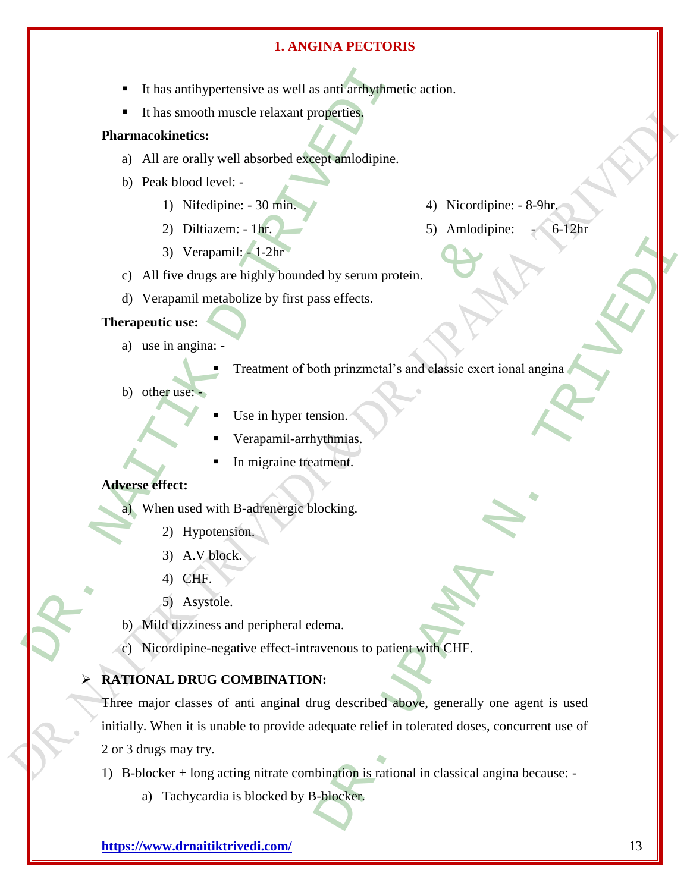- The material state of the Marine Charles and a state of the Marine Charles and a smooth muscle relaxant properties,<br>
2) All are orally well absorbed except amlodipine.<br>
b) Peak blood level:<br>
2) Diltiazem: In:<br>
2) Verapam It has antihypertensive as well as anti arrhythmetic action.
	- It has smooth muscle relaxant properties.

#### **Pharmacokinetics:**

- a) All are orally well absorbed except amlodipine.
- b) Peak blood level:
	- 1) Nifedipine: 30 min.
	- 2) Diltiazem: 1hr.
	- 3) Verapamil: 1-2hr
- c) All five drugs are highly bounded by serum protein.
- d) Verapamil metabolize by first pass effects.

#### **Therapeutic use:**

- a) use in angina:
	- Treatment of both prinzmetal's and classic exert ional angina
- b) other use:
- Use in hyper tension.
- Verapamil-arrhythmias.
- In migraine treatment.

# **Adverse effect:**

- a) When used with B-adrenergic blocking.
	- 2) Hypotension.
	- 3) A.V block.
	- 4) CHF.
	- 5) Asystole.
- b) Mild dizziness and peripheral edema.
- c) Nicordipine-negative effect-intravenous to patient with CHF.

# **RATIONAL DRUG COMBINATION:**

Trapamil: -1-2hr<br>
Trapamil: -1-2hr<br>
Il metabolize by first pass effects.<br>
<br>
ina:<br>
Treatment of both prinzmetal's and elassic exert in<br>
Use in hyper tension.<br>
Verapamil-arrhythmias.<br>
In migraine treatment.<br>
In migraine trea New Section<br>
Sas effects.<br>
Sas effects.<br>
Sas effects.<br>
On the principalal's and elassic exert ional angina<br>
mais.<br>
Whythmias.<br>
Mexican and the same of the same of the same of the same of the same of the same of the same of Three major classes of anti anginal drug described above, generally one agent is used initially. When it is unable to provide adequate relief in tolerated doses, concurrent use of 2 or 3 drugs may try.

- 1) B-blocker + long acting nitrate combination is rational in classical angina because:
	- a) Tachycardia is blocked by B-blocker.
- **<https://www.drnaitiktrivedi.com/>** 13
- 4) Nicordipine: 8-9hr.
- 5) Amlodipine: 6-12hr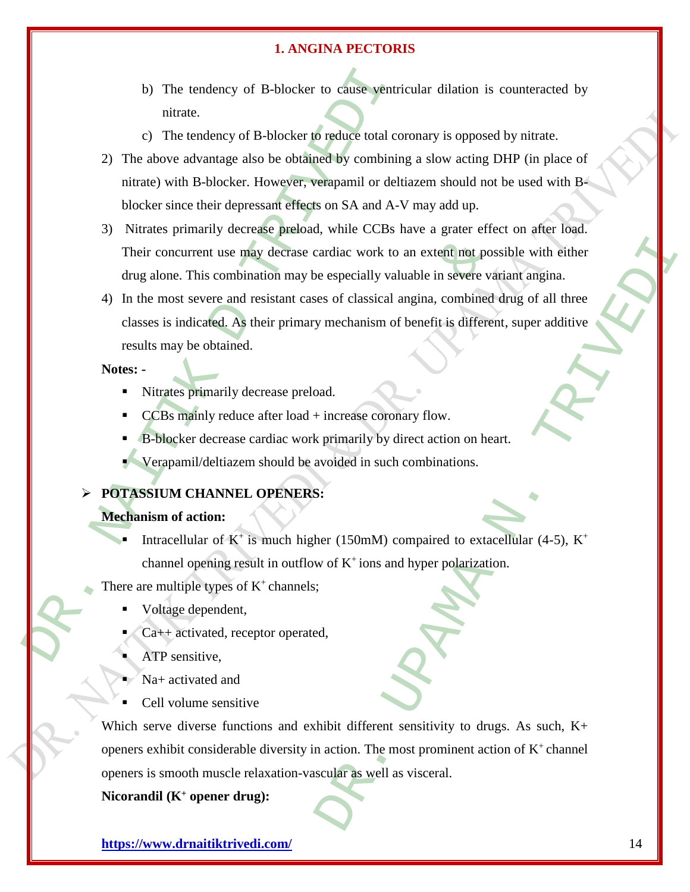- b) The tendency of B-blocker to cause ventricular dilation is counteracted by nitrate.
- c) The tendency of B-blocker to reduce total coronary is opposed by nitrate.
- b) The tendency of B-blocker to cause ventri<br>
mitrate.<br>
c) The tendency of B-blocker to reduce total co<br>
2) The above advantage also be obtained by combinin<br>
mitrate) with B-blocker. However, verapamil or delt<br>
blocker s 2) The above advantage also be obtained by combining a slow acting DHP (in place of nitrate) with B-blocker. However, verapamil or deltiazem should not be used with Bblocker since their depressant effects on SA and A-V may add up.
	- 3) Nitrates primarily decrease preload, while CCBs have a grater effect on after load. Their concurrent use may decrase cardiac work to an extent not possible with either drug alone. This combination may be especially valuable in severe variant angina.
	- ent use may decrase cardiac work to an extent not possis<br>
	is combination may be especially valuable in severe va<br>
	ivere and resistant cases of classical angina, combined<br>
	cated. As their primary mechanism of benefit is dif 4) In the most severe and resistant cases of classical angina, combined drug of all three classes is indicated. As their primary mechanism of benefit is different, super additive results may be obtained.

# **Notes: -**

- Nitrates primarily decrease preload.
- CCBs mainly reduce after load + increase coronary flow.
- B-blocker decrease cardiac work primarily by direct action on heart.
- Verapamil/deltiazem should be avoided in such combinations.

#### **POTASSIUM CHANNEL OPENERS:**

## **Mechanism of action:**

- Intracellular of  $K^+$  is much higher (150mM) compaired to extacellular (4-5),  $K^+$ channel opening result in outflow of  $K^+$  ions and hyper polarization.
- There are multiple types of  $K^+$ channels;
	- Voltage dependent,
	- Ca++ activated, receptor operated,
	- ATP sensitive,
	- Na+ activated and
	- Cell volume sensitive

Example the content of possible with either<br>
expecially valuable in severe variant angina.<br>
expecially valuable in severe variant angina.<br>
expecially valuable in severe variant angina.<br>
expectation of benefit is different, Which serve diverse functions and exhibit different sensitivity to drugs. As such, K+ openers exhibit considerable diversity in action. The most prominent action of  $K^+$  channel openers is smooth muscle relaxation-vascular as well as visceral.

**Nicorandil (K<sup>+</sup> opener drug):**

**<https://www.drnaitiktrivedi.com/>** 14